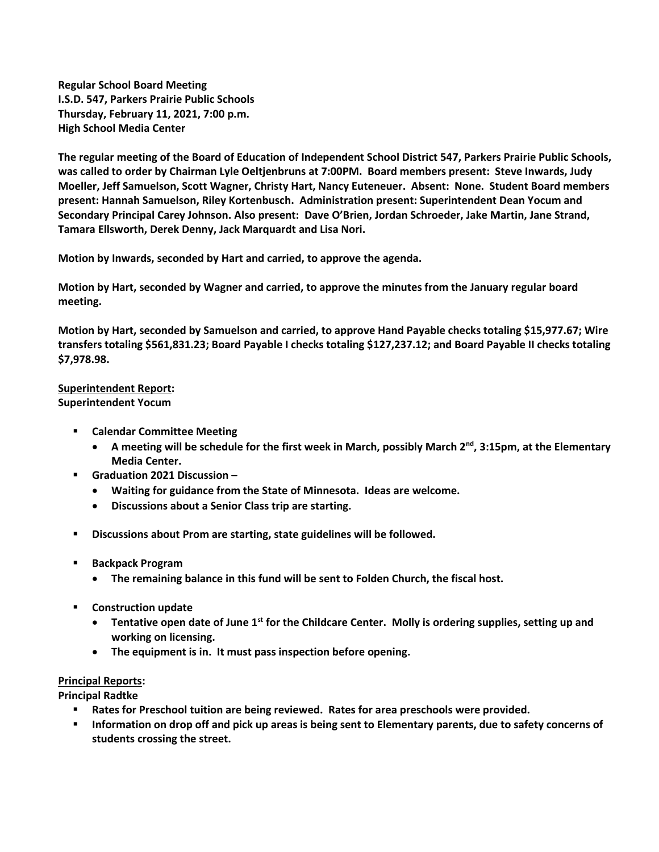**Regular School Board Meeting I.S.D. 547, Parkers Prairie Public Schools Thursday, February 11, 2021, 7:00 p.m. High School Media Center**

**The regular meeting of the Board of Education of Independent School District 547, Parkers Prairie Public Schools, was called to order by Chairman Lyle Oeltjenbruns at 7:00PM. Board members present: Steve Inwards, Judy Moeller, Jeff Samuelson, Scott Wagner, Christy Hart, Nancy Euteneuer. Absent: None. Student Board members present: Hannah Samuelson, Riley Kortenbusch. Administration present: Superintendent Dean Yocum and Secondary Principal Carey Johnson. Also present: Dave O'Brien, Jordan Schroeder, Jake Martin, Jane Strand, Tamara Ellsworth, Derek Denny, Jack Marquardt and Lisa Nori.**

**Motion by Inwards, seconded by Hart and carried, to approve the agenda.**

**Motion by Hart, seconded by Wagner and carried, to approve the minutes from the January regular board meeting.**

**Motion by Hart, seconded by Samuelson and carried, to approve Hand Payable checks totaling \$15,977.67; Wire transfers totaling \$561,831.23; Board Payable I checks totaling \$127,237.12; and Board Payable II checks totaling \$7,978.98.** 

## **Superintendent Report: Superintendent Yocum**

- **Calendar Committee Meeting**
	- **A meeting will be schedule for the first week in March, possibly March 2nd, 3:15pm, at the Elementary Media Center.**
- **Graduation 2021 Discussion –**
	- **Waiting for guidance from the State of Minnesota. Ideas are welcome.**
	- **Discussions about a Senior Class trip are starting.**
- **Discussions about Prom are starting, state guidelines will be followed.**
- **Backpack Program** 
	- **The remaining balance in this fund will be sent to Folden Church, the fiscal host.**
- **Construction update**
	- **Tentative open date of June 1st for the Childcare Center. Molly is ordering supplies, setting up and working on licensing.**
	- **The equipment is in. It must pass inspection before opening.**

## **Principal Reports:**

**Principal Radtke**

- **Rates for Preschool tuition are being reviewed. Rates for area preschools were provided.**
- **Information on drop off and pick up areas is being sent to Elementary parents, due to safety concerns of students crossing the street.**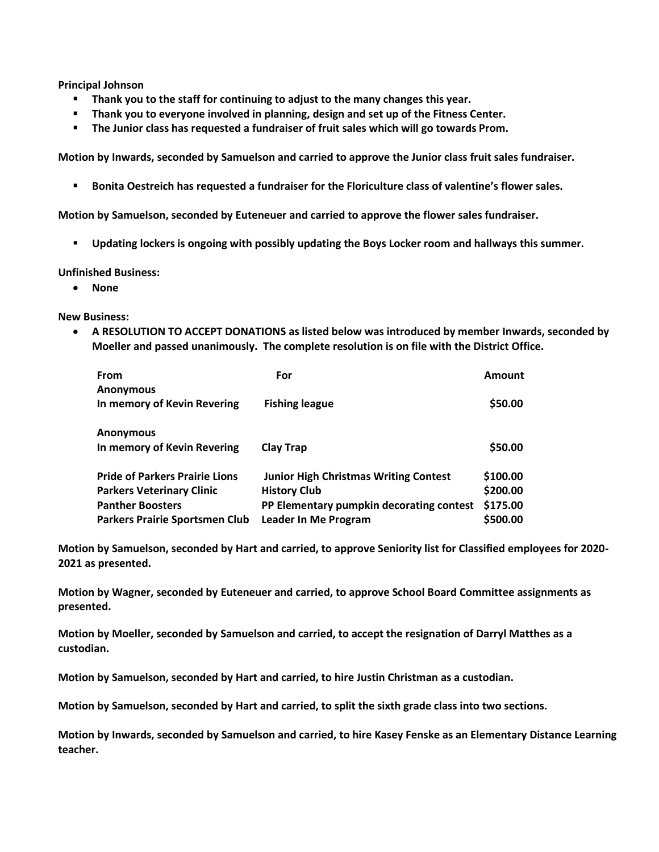**Principal Johnson**

- **Thank you to the staff for continuing to adjust to the many changes this year.**
- **Thank you to everyone involved in planning, design and set up of the Fitness Center.**
- **The Junior class has requested a fundraiser of fruit sales which will go towards Prom.**

**Motion by Inwards, seconded by Samuelson and carried to approve the Junior class fruit sales fundraiser.**

**Bonita Oestreich has requested a fundraiser for the Floriculture class of valentine's flower sales.** 

**Motion by Samuelson, seconded by Euteneuer and carried to approve the flower sales fundraiser.**

**Updating lockers is ongoing with possibly updating the Boys Locker room and hallways this summer.**

## **Unfinished Business:**

**None**

**New Business:**

 **A RESOLUTION TO ACCEPT DONATIONS as listed below was introduced by member Inwards, seconded by Moeller and passed unanimously. The complete resolution is on file with the District Office.** 

| From                                  | For                                          | Amount   |
|---------------------------------------|----------------------------------------------|----------|
| <b>Anonymous</b>                      |                                              |          |
| In memory of Kevin Revering           | <b>Fishing league</b>                        | \$50.00  |
|                                       |                                              |          |
| <b>Anonymous</b>                      |                                              |          |
| In memory of Kevin Revering           | <b>Clay Trap</b>                             | \$50.00  |
|                                       |                                              |          |
| <b>Pride of Parkers Prairie Lions</b> | <b>Junior High Christmas Writing Contest</b> | \$100.00 |
| <b>Parkers Veterinary Clinic</b>      | <b>History Club</b>                          | \$200.00 |
| <b>Panther Boosters</b>               | PP Elementary pumpkin decorating contest     | \$175.00 |
| <b>Parkers Prairie Sportsmen Club</b> | Leader In Me Program                         | \$500.00 |

**Motion by Samuelson, seconded by Hart and carried, to approve Seniority list for Classified employees for 2020- 2021 as presented.**

**Motion by Wagner, seconded by Euteneuer and carried, to approve School Board Committee assignments as presented.**

**Motion by Moeller, seconded by Samuelson and carried, to accept the resignation of Darryl Matthes as a custodian.**

**Motion by Samuelson, seconded by Hart and carried, to hire Justin Christman as a custodian.**

**Motion by Samuelson, seconded by Hart and carried, to split the sixth grade class into two sections.**

**Motion by Inwards, seconded by Samuelson and carried, to hire Kasey Fenske as an Elementary Distance Learning teacher.**